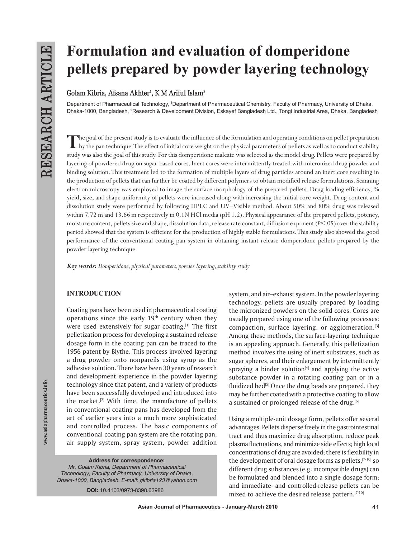**www.asiapharmaceutics.info**

www.asiapharmaceutics.info

# **Formulation and evaluation of domperidone pellets prepared by powder layering technology**

## **Golam Kibria, Afsana Akhter1 , K M Ariful Islam2**

Department of Pharmaceutical Technology, <sup>1</sup>Department of Pharmaceutical Chemistry, Faculty of Pharmacy, University of Dhaka, Dhaka-1000, Bangladesh, <sup>2</sup>Research & Development Division, Eskayef Bangladesh Ltd., Tongi Industrial Area, Dhaka, Bangladesh

The goal of the present study is to evaluate the influence of the formulation and operating conditions on pellet preparation<br>by the pan technique. The effect of initial core weight on the physical parameters of pellets as study was also the goal of this study. For this domperidone maleate was selected as the model drug. Pellets were prepared by layering of powdered drug on sugar-based cores. Inert cores were intermittently treated with micronized drug powder and binding solution. This treatment led to the formation of multiple layers of drug particles around an inert core resulting in the production of pellets that can further be coated by different polymers to obtain modified release formulations. Scanning electron microscopy was employed to image the surface morphology of the prepared pellets. Drug loading efficiency, % yield, size, and shape uniformity of pellets were increased along with increasing the initial core weight. Drug content and dissolution study were performed by following HPLC and UV–Visible method. About 50% and 80% drug was released within 7.72 m and 13.66 m respectively in 0.1N HCl media (pH 1.2). Physical appearance of the prepared pellets, potency, moisture content, pellets size and shape, dissolution data, release rate constant, diffusion exponent (*P*<.05) over the stability period showed that the system is efficient for the production of highly stable formulations. This study also showed the good performance of the conventional coating pan system in obtaining instant release domperidone pellets prepared by the powder layering technique.

*Key words: Domperidone, physical parameters, powder layering, stability study*

## **INTRODUCTION**

Coating pans have been used in pharmaceutical coating operations since the early  $19<sup>th</sup>$  century when they were used extensively for sugar coating.[1] The first pelletization process for developing a sustained release dosage form in the coating pan can be traced to the 1956 patent by Blythe. This process involved layering a drug powder onto nonpareils using syrup as the adhesive solution. There have been 30 years of research and development experience in the powder layering technology since that patent, and a variety of products have been successfully developed and introduced into the market.<sup>[2]</sup> With time, the manufacture of pellets in conventional coating pans has developed from the art of earlier years into a much more sophisticated and controlled process. The basic components of conventional coating pan system are the rotating pan, air supply system, spray system, powder addition

**Address for correspondence:** Mr. Golam Kibria, Department of Pharmaceutical Technology, Faculty of Pharmacy, University of Dhaka, Dhaka-1000, Bangladesh. E-mail: gkibria123@yahoo.com

**DOI:** 10.4103/0973-8398.63986

system, and air–exhaust system. In the powder layering technology, pellets are usually prepared by loading the micronized powders on the solid cores. Cores are usually prepared using one of the following processes: compaction, surface layering, or agglomeration.[3] Among these methods, the surface-layering technique is an appealing approach. Generally, this pelletization method involves the using of inert substrates, such as sugar spheres, and their enlargement by intermittently spraying a binder solution $[4]$  and applying the active substance powder in a rotating coating pan or in a fluidized bed<sup>[5]</sup> Once the drug beads are prepared, they may be further coated with a protective coating to allow a sustained or prolonged release of the drug.<sup>[6]</sup>

Using a multiple-unit dosage form, pellets offer several advantages: Pellets disperse freely in the gastrointestinal tract and thus maximize drug absorption, reduce peak plasma fluctuations, and minimize side effects; high local concentrations of drug are avoided; there is flexibility in the development of oral dosage forms as pellets,  $[7-10]$  so different drug substances (e.g. incompatible drugs) can be formulated and blended into a single dosage form; and immediate- and controlled-release pellets can be mixed to achieve the desired release pattern.<sup>[7-10]</sup>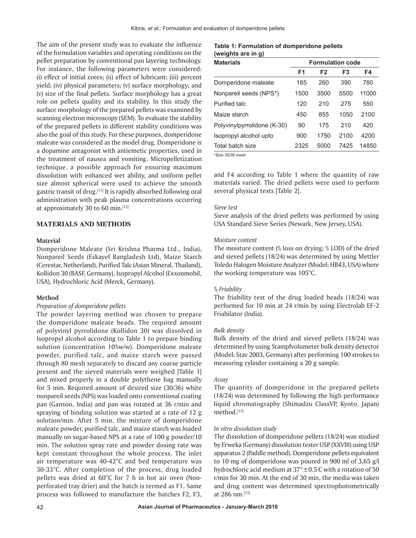The aim of the present study was to evaluate the influence of the formulation variables and operating conditions on the pellet preparation by conventional pan layering technology. For instance, the following parameters were considered: (i) effect of initial cores; (ii) effect of lubricant; (iii) percent yield; (iv) physical parameters; (v) surface morphology; and (v) size of the final pellets. Surface morphology has a great role on pellets quality and its stability. In this study the surface morphology of the prepared pellets was examined by scanning electron microscopy (SEM). To evaluate the stability of the prepared pellets in different stability conditions was also the goal of this study. For these purposes, domperidone maleate was considered as the model drug. Domperidone is a dopamine antagonist with antiemetic properties, used in the treatment of nausea and vomiting. Micropelletization technique, a possible approach for ensuring maximum dissolution with enhanced wet ability, and uniform pellet size almost spherical were used to achieve the smooth gastric transit of drug.[11] It is rapidly absorbed following oral administration with peak plasma concentrations occurring at approximately 30 to 60 min.[12]

## **MATERIALS AND METHODS**

## **Material**

Domperidone Maleate (Sri Krishna Pharma Ltd., India), Nonpareil Seeds (Eskayef Bangladesh Ltd), Maize Starch (Cerestar, Netherland), Purified Talc (Asian Mineral, Thailand), Kollidon 30 (BASF, Germany), Isopropyl Alcohol (Exxonmobil, USA), Hydrochloric Acid (Merck, Germany).

#### **Method**

#### *Preparation of domperidone pellets*

The powder layering method was chosen to prepare the domperidone maleate beads. The required amount of polyvinyl pyrrolidone (Kollidon 30) was dissolved in Isopropyl alcohol according to Table 1 to prepare binding solution (concentration 10%w/w). Domperidone maleate powder, purified talc, and maize starch were passed through 80 mesh separately to discard any coarse particle present and the sieved materials were weighed [Table 1] and mixed properly in a double polythene bag manually for 5 min. Required amount of desired size (30/36) white nonpareil seeds (NPS) was loaded onto conventional coating pan (Ganson, India) and pan was rotated at 36 r/min and spraying of binding solution was started at a rate of 12 g solution/min. After 5 min, the mixture of domperidone maleate powder, purified talc, and maize starch was loaded manually on sugar-based NPS at a rate of 100 g powder/10 min. The solution spray rate and powder dosing rate was kept constant throughout the whole process. The inlet air temperature was 40-42*°*C and bed temperature was 30-33*°*C. After completion of the process, drug loaded pellets was dried at 60*°*C for 7 h in hot air oven (Nonperforated tray drier) and the batch is termed as F1. Same process was followed to manufacture the batches F2, F3,

#### **Table 1: Formulation of domperidone pellets (weights are in g)**

| <b>Materials</b>            | <b>Formulation code</b> |                |                |       |  |  |  |  |
|-----------------------------|-------------------------|----------------|----------------|-------|--|--|--|--|
|                             | F <sub>1</sub>          | F <sub>2</sub> | F <sub>3</sub> | F4    |  |  |  |  |
| Domperidone maleate         | 165                     | 260            | 390            | 780   |  |  |  |  |
| Nonpareil seeds (NPS*)      | 1500                    | 3500           | 5500           | 11000 |  |  |  |  |
| Purified talc               | 120                     | 210            | 275            | 550   |  |  |  |  |
| Maize starch                | 450                     | 855            | 1050           | 2100  |  |  |  |  |
| Polyvinylpyrrolidone (K-30) | 90                      | 175            | 210            | 420   |  |  |  |  |
| Isopropyl alcohol upto      | 900                     | 1750           | 2100           | 4200  |  |  |  |  |
| Total batch size            | 2325                    | 5000           | 7425           | 14850 |  |  |  |  |

\*Size 30/36 mesh

and F4 according to Table 1 where the quantity of raw materials varied. The dried pellets were used to perform several physical tests [Table 2].

#### *Sieve test*

Sieve analysis of the dried pellets was performed by using USA Standard Sieve Series (Newark, New Jersey, USA).

#### *Moisture content*

The moisture content (% loss on drying; % LOD) of the dried and sieved pellets (18/24) was determined by using Mettler Toledo Halogen Moisture Analyzer (Model: HB43, USA) where the working temperature was 105*°*C.

#### *% Friability*

The friability test of the drug loaded beads (18/24) was performed for 10 min at 24 r/min by using Electrolab EF-2 Friabilator (India).

#### *Bulk density*

Bulk density of the dried and sieved pellets (18/24) was determined by using Stampfvolumeter bulk density detector (Model: Stav 2003, Germany) after performing 100 strokes to measuring cylinder containing a 20 g sample.

#### *Assay*

The quantity of domperidone in the prepared pellets (18/24) was determined by following the high performance liquid chromatography (Shimadzu ClassVP, Kyoto, Japan) method.[13]

#### *In vitro dissolution study*

The dissolution of domperidone pellets (18/24) was studied by Erweka (Germany) dissolution tester USP (XXVIII) using USP apparatus 2 (Paddle method). Domperidone pellets equivalent to 10 mg of domperidone was poured in 900 ml of 3.65 g/l hydrochloric acid medium at  $37^{\circ}$  ±0.5 C with a rotation of 50 r/min for 30 min. At the end of 30 min, the media was taken and drug content was determined spectrophotometrically at 286 nm.[13]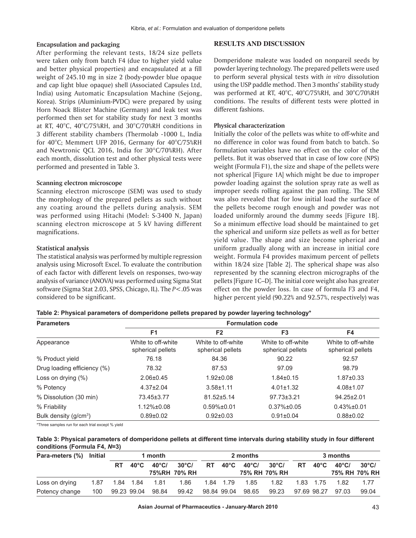## **Encapsulation and packaging**

After performing the relevant tests, 18/24 size pellets were taken only from batch F4 (due to higher yield value and better physical properties) and encapsulated at a fill weight of 245.10 mg in size 2 (body-powder blue opaque and cap light blue opaque) shell (Associated Capsules Ltd, India) using Automatic Encapsulation Machine (Sejong, Korea). Strips (Aluminium-PVDC) were prepared by using Horn Noack Blister Machine (Germany) and leak test was performed then set for stability study for next 3 months at RT, 40*°*C, 40*°*C/75%RH, and 30*°*C/70%RH conditions in 3 different stability chambers (Thermolab -1000 L, India for 40*°*C; Memmert UFP 2016, Germany for 40*°*C/75%RH and Newtronic QCL 2016, India for 30°C/70%RH). After each month, dissolution test and other physical tests were performed and presented in Table 3.

## **Scanning electron microscope**

Scanning electron microscope (SEM) was used to study the morphology of the prepared pellets as such without any coating around the pellets during analysis. SEM was performed using Hitachi (Model: S-3400 N, Japan) scanning electron microscope at 5 kV having different magnifications.

## **Statistical analysis**

The statistical analysis was performed by multiple regression analysis using Microsoft Excel. To evaluate the contribution of each factor with different levels on responses, two-way analysis of variance (ANOVA) was performed using Sigma Stat software (Sigma Stat 2.03, SPSS, Chicago, IL). The *P*<.05 was considered to be significant.

## **RESULTS AND DISCUSSION**

Domperidone maleate was loaded on nonpareil seeds by powder layering technology. The prepared pellets were used to perform several physical tests with *in vitro* dissolution using the USP paddle method. Then 3 months' stability study was performed at RT, 40*°*C, 40*°*C/75%RH, and 30*°*C/70%RH conditions. The results of different tests were plotted in different fashions.

## **Physical characterization**

Initially the color of the pellets was white to off-white and no difference in color was found from batch to batch. So formulation variables have no effect on the color of the pellets. But it was observed that in case of low core (NPS) weight (Formula F1), the size and shape of the pellets were not spherical [Figure 1A] which might be due to improper powder loading against the solution spray rate as well as improper seeds rolling against the pan rolling. The SEM was also revealed that for low initial load the surface of the pellets become rough enough and powder was not loaded uniformly around the dummy seeds [Figure 1B]. So a minimum effective load should be maintained to get the spherical and uniform size pellets as well as for better yield value. The shape and size become spherical and uniform gradually along with an increase in initial core weight. Formula F4 provides maximum percent of pellets within 18/24 size [Table 2]. The spherical shape was also represented by the scanning electron micrographs of the pellets [Figure 1C–D]. The initial core weight also has greater effect on the powder loss. In case of formula F3 and F4, higher percent yield (90.22% and 92.57%, respectively) was

| <b>Parameters</b>                 | <b>Formulation code</b>                 |                                         |                                         |                                         |  |  |  |  |  |  |
|-----------------------------------|-----------------------------------------|-----------------------------------------|-----------------------------------------|-----------------------------------------|--|--|--|--|--|--|
|                                   | F <sub>1</sub>                          | F <sub>2</sub>                          | F <sub>3</sub>                          | F4                                      |  |  |  |  |  |  |
| Appearance                        | White to off-white<br>spherical pellets | White to off-white<br>spherical pellets | White to off-white<br>spherical pellets | White to off-white<br>spherical pellets |  |  |  |  |  |  |
| % Product yield                   | 76.18                                   | 84.36                                   | 90.22                                   | 92.57                                   |  |  |  |  |  |  |
| Drug loading efficiency (%)       | 78.32                                   | 87.53                                   | 97.09                                   | 98.79                                   |  |  |  |  |  |  |
| Loss on drying (%)                | $2.06 \pm 0.45$                         | $1.92 \pm 0.08$                         | $1.84 \pm 0.15$                         | $1.87 + 0.33$                           |  |  |  |  |  |  |
| % Potency                         | $4.37 \pm 2.04$                         | $3.58 \pm 1.11$                         | $4.01 \pm 1.32$                         | $4.08 \pm 1.07$                         |  |  |  |  |  |  |
| % Dissolution (30 min)            | 73.45±3.77                              | $81.52 \pm 5.14$                        | $97.73 \pm 3.21$                        | $94.25 \pm 2.01$                        |  |  |  |  |  |  |
| % Friability                      | $1.12\% \pm 0.08$                       | $0.59% + 0.01$                          | $0.37\% \pm 0.05$                       | $0.43\% \pm 0.01$                       |  |  |  |  |  |  |
| Bulk density (g/cm <sup>3</sup> ) | $0.89 \pm 0.02$                         | $0.92 \pm 0.03$                         | $0.91 \pm 0.04$                         | $0.88 + 0.02$                           |  |  |  |  |  |  |

\*Three samples run for each trial except % yield

## **Table 3: Physical parameters of domperidone pellets at different time intervals during stability study in four different conditions (Formula F4,** *N***=3)**

| Para-meters (%) Initial |  | 1 month   |                       |                                 |  | 2 months |                 |                                  | 3 months |      |                        |                 |
|-------------------------|--|-----------|-----------------------|---------------------------------|--|----------|-----------------|----------------------------------|----------|------|------------------------|-----------------|
|                         |  | $RT$ 40°C | 40°C/                 | $30^{\circ}$ C/<br>75%RH 70% RH |  |          | $RT$ 40°C 40°C/ | $30^{\circ}$ C/<br>75% RH 70% RH | RT       | 40°C | 40°C/<br>75% RH 70% RH | $30^{\circ}$ C/ |
| Loss on drying          |  |           |                       | 1.86                            |  |          | 1.84 1.79  1.85 | 1.82                             |          |      |                        | 1 77            |
| Potency change          |  |           | 100 99.23 99.04 98.84 | 99.42 98.84 99.04 98.65         |  |          |                 | 99.23 97.69 98.27 97.03          |          |      |                        | 99.04           |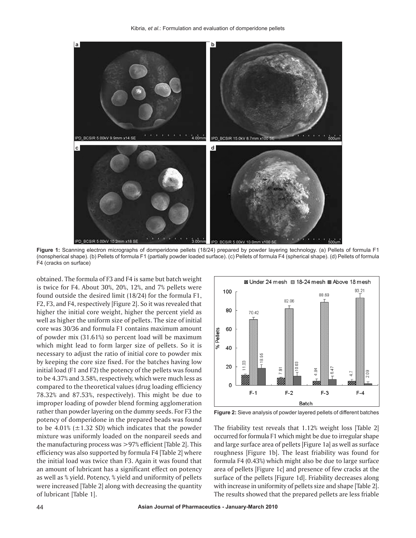

**Figure 1:** Scanning electron micrographs of domperidone pellets (18/24) prepared by powder layering technology. (a) Pellets of formula F1 (nonspherical shape). (b) Pellets of formula F1 (partially powder loaded surface). (c) Pellets of formula F4 (spherical shape). (d) Pellets of formula F4 (cracks on surface)

obtained. The formula of F3 and F4 is same but batch weight is twice for F4. About 30%, 20%, 12%, and 7% pellets were found outside the desired limit (18/24) for the formula F1, F2, F3, and F4, respectively [Figure 2]. So it was revealed that higher the initial core weight, higher the percent yield as well as higher the uniform size of pellets. The size of initial core was 30/36 and formula F1 contains maximum amount of powder mix (31.61%) so percent load will be maximum which might lead to form larger size of pellets. So it is necessary to adjust the ratio of initial core to powder mix by keeping the core size fixed. For the batches having low initial load (F1 and F2) the potency of the pellets was found to be 4.37% and 3.58%, respectively, which were much less as compared to the theoretical values (drug loading efficiency 78.32% and 87.53%, respectively). This might be due to improper loading of powder blend forming agglomeration rather than powder layering on the dummy seeds. For F3 the potency of domperidone in the prepared beads was found to be 4.01%  $(\pm 1.32 \text{ SD})$  which indicates that the powder mixture was uniformly loaded on the nonpareil seeds and the manufacturing process was >97% efficient [Table 2]. This efficiency was also supported by formula F4 [Table 2] where the initial load was twice than F3. Again it was found that an amount of lubricant has a significant effect on potency as well as % yield. Potency, % yield and uniformity of pellets were increased [Table 2] along with decreasing the quantity of lubricant [Table 1].



**Figure 2:** Sieve analysis of powder layered pellets of different batches

The friability test reveals that 1.12% weight loss [Table 2] occurred for formula F1 which might be due to irregular shape and large surface area of pellets [Figure 1a] as well as surface roughness [Figure 1b]. The least friability was found for formula F4 (0.43%) which might also be due to large surface area of pellets [Figure 1c] and presence of few cracks at the surface of the pellets [Figure 1d]. Friability decreases along with increase in uniformity of pellets size and shape [Table 2]. The results showed that the prepared pellets are less friable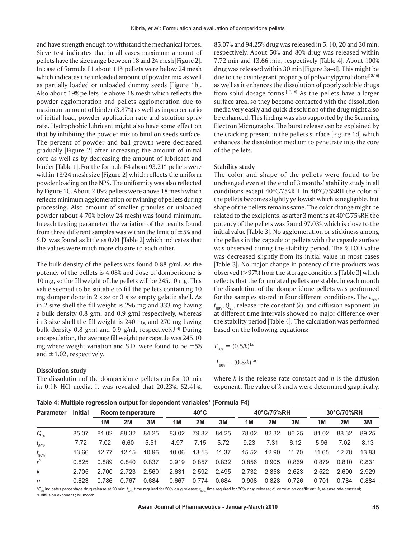and have strength enough to withstand the mechanical forces. Sieve test indicates that in all cases maximum amount of pellets have the size range between 18 and 24 mesh [Figure 2]. In case of formula F1 about 11% pellets were below 24 mesh which indicates the unloaded amount of powder mix as well as partially loaded or unloaded dummy seeds [Figure 1b]. Also about 19% pellets lie above 18 mesh which reflects the powder agglomeration and pellets agglomeration due to maximum amount of binder (3.87%) as well as improper ratio of initial load, powder application rate and solution spray rate. Hydrophobic lubricant might also have some effect on that by inhibiting the powder mix to bind on seeds surface. The percent of powder and ball growth were decreased gradually [Figure 2] after increasing the amount of initial core as well as by decreasing the amount of lubricant and binder [Table 1]. For the formula F4 about 93.21% pellets were within 18/24 mesh size [Figure 2] which reflects the uniform powder loading on the NPS. The uniformity was also reflected by Figure 1C. About 2.09% pellets were above 18 mesh which reflects minimum agglomeration or twinning of pellets during processing. Also amount of smaller granules or unloaded powder (about 4.70% below 24 mesh) was found minimum. In each testing parameter, the variation of the results found from three different samples was within the limit of  $\pm 5\%$  and S.D. was found as little as 0.01 [Table 2] which indicates that the values were much more closure to each other.

The bulk density of the pellets was found 0.88 g/ml. As the potency of the pellets is 4.08% and dose of domperidone is 10 mg, so the fill weight of the pellets will be 245.10 mg. This value seemed to be suitable to fill the pellets containing 10 mg domperidone in 2 size or 3 size empty gelatin shell. As in 2 size shell the fill weight is 296 mg and 333 mg having a bulk density 0.8 g/ml and 0.9 g/ml respectively, whereas in 3 size shell the fill weight is 240 mg and 270 mg having bulk density 0.8 g/ml and 0.9 g/ml, respectively.<sup>[14]</sup> During encapsulation, the average fill weight per capsule was 245.10 mg where weight variation and S.D. were found to be  $\pm 5\%$ and  $\pm 1.02$ , respectively.

#### **Dissolution study**

The dissolution of the domperidone pellets run for 30 min in 0.1N HCl media. It was revealed that 20.23%, 62.41%, 85.07% and 94.25% drug was released in 5, 10, 20 and 30 min, respectively. About 50% and 80% drug was released within 7.72 min and 13.66 min, respectively [Table 4]. About 100% drug was released within 30 min [Figure 3a–d]. This might be due to the disintegrant property of polyvinylpyrrolidone<sup>[15,16]</sup> as well as it enhances the dissolution of poorly soluble drugs from solid dosage forms.<sup>[17,18]</sup> As the pellets have a larger surface area, so they become contacted with the dissolution media very easily and quick dissolution of the drug might also be enhanced. This finding was also supported by the Scanning Electron Micrographs. The burst release can be explained by the cracking present in the pellets surface [Figure 1d] which enhances the dissolution medium to penetrate into the core of the pellets.

#### **Stability study**

The color and shape of the pellets were found to be unchanged even at the end of 3 months' stability study in all conditions except 40°C/75%RH. In 40°C/75%RH the color of the pellets becomes slightly yellowish which is negligible, but shape of the pellets remains same. The color change might be related to the excipients, as after 3 months at 40*°*C/75%RH the potency of the pellets was found 97.03% which is close to the initial value [Table 3]. No agglomeration or stickiness among the pellets in the capsule or pellets with the capsule surface was observed during the stability period. The % LOD value was decreased slightly from its initial value in most cases [Table 3]. No major change in potency of the products was observed (>97%) from the storage conditions [Table 3] which reflects that the formulated pellets are stable. In each month the dissolution of the domperidone pellets was performed for the samples stored in four different conditions. The *t* 50%, *t* 80%, *Q*20, release rate constant (*k*), and diffusion exponent (*n*) at different time intervals showed no major difference over the stability period [Table 4]. The calculation was performed based on the following equations:

 $T_{50\%} = (0.5/k)^{1/n}$  $T_{80\%} = (0.8/k)^{1/n}$ 

where *k* is the release rate constant and *n* is the diffusion exponent. The value of *k* and *n* were determined graphically.

**Table 4: Multiple regression output for dependent variables\* (Formula F4)**

| <b>Parameter</b> | <b>Initial</b> |       | Room temperature |       |       | $40^{\circ}$ C |       | 40°C/75%RH |       |       | 30°C/70%RH |       |       |
|------------------|----------------|-------|------------------|-------|-------|----------------|-------|------------|-------|-------|------------|-------|-------|
|                  |                | 1M    | 2M               | 3M    | 1M    | 2M             | 3M    | 1M         | 2M    | 3M    | 1M         | 2M    | 3M    |
| $Q_{20}$         | 85.07          | 81.02 | 88.32            | 84.25 | 83.02 | 79.32          | 84.25 | 78.02      | 82.32 | 86.25 | 81.02      | 88.32 | 89.25 |
| $t_{\rm 50\%}$   | 7.72           | 7.02  | 6.60             | 5.51  | 4.97  | 7.15           | 5.72  | 9.23       | 7.31  | 6.12  | 5.96       | 7.02  | 8.13  |
| $t_{\rm 80\%}$   | 13.66          | 12.77 | 12.15            | 10.96 | 10.06 | 13.13          | 11.37 | 15.52      | 12.90 | 11.70 | 11.65      | 12.78 | 13.83 |
| $r^2$            | 0.825          | 0.889 | 0.840            | 0.837 | 0.919 | 0.857          | 0.832 | 0.856      | 0.905 | 0.869 | 0.879      | 0.810 | 0.831 |
| k                | 2.705          | 2.700 | 2.723            | 2.560 | 2.631 | 2.592          | 2.495 | 2.732      | 2.858 | 2.623 | 2.522      | 2.690 | 2.929 |
| n                | 0.823          | 0.786 | 0.767            | 0.684 | 0.667 | 0.774          | 0.684 | 0.908      | 0.828 | 0.726 | 0.701      | 0.784 | 0.884 |

 $^*{\sf Q}_{20}$  indicates percentage drug release at 20 min;  $t_{\rm s0\%}$ , time required for 50% drug release;  $t_{\rm s0\%}$ , time required for 80% drug release;  $r^{\rm c}$ , correlation coefficient; k, release rate constant; *n* diffusion exponent.; M, month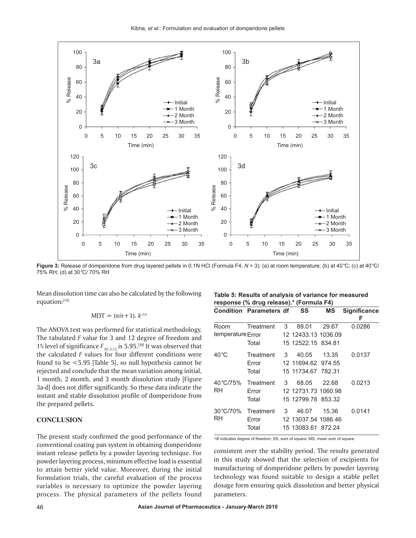

**Figure 3:** Release of domperidone from drug layered pellets in 0.1N HCl (Formula F4, *N* = 3): (a) at room temperature; (b) at 40*°*C; (c) at 40*°*C/ 75% RH; (d) at 30*°*C/ 70% RH

Mean dissolution time can also be calculated by the following equation:[19]

$$
MDT = (n/n + 1)
$$
.  $k^{-1/n}$ 

The ANOVA test was performed for statistical methodology. The tabulated *F* value for 3 and 12 degree of freedom and 1% level of significance  $F_{.01,3,12}$  is 5.95.<sup>[20]</sup> It was observed that the calculated *F* values for four different conditions were found to be <5.95 [Table 5], so null hypothesis cannot be rejected and conclude that the mean variation among initial, 1 month, 2 month, and 3 month dissolution study [Figure 3a-d] does not differ significantly. So these data indicate the instant and stable dissolution profile of domperidone from the prepared pellets.

### **CONCLUSION**

The present study confirmed the good performance of the conventional coating pan system in obtaining domperidone instant release pellets by a powder layering technique. For powder layering process, minimum effective load is essential to attain better yield value. Moreover, during the initial formulation trials, the careful evaluation of the process variables is necessary to optimize the powder layering process. The physical parameters of the pellets found

## **Table 5: Results of analysis of variance for measured response (% drug release).\* (Formula F4)**

|                   | <b>Condition Parameters df</b> |              | SS                  | ΜS    | Significance<br>F |
|-------------------|--------------------------------|--------------|---------------------|-------|-------------------|
| Room              | Treatment                      | 3            | 89.01               | 29.67 | 0.0286            |
| temperature Error |                                |              | 12 12433.13 1036.09 |       |                   |
|                   | Total                          |              | 15 12522.15 834.81  |       |                   |
| $40^{\circ}$ C    | Treatment                      |              | 3 40.05 13.35       |       | 0.0137            |
|                   | Error                          |              | 12 11694.62 974.55  |       |                   |
|                   | Total                          |              | 15 11734.67 782.31  |       |                   |
| 40°C/75%          | Treatment                      | $\mathbf{3}$ | 68.05               | 22.68 | 0.0213            |
| RH.               | Error                          |              | 12 12731.73 1060.98 |       |                   |
|                   | Total                          |              | 15 12799.78 853.32  |       |                   |
| 30°C/70%          | Treatment                      | $\mathbf{3}$ | 46.07               | 15.36 | 0.0141            |
| RH.               | Error                          |              | 12 13037.54 1086.46 |       |                   |
|                   | Total                          |              | 15 13083.61 872.24  |       |                   |

\*df indicates degree of freedom; SS, sum of square; MS, mean sum of square

consistent over the stability period. The results generated in this study showed that the selection of excipients for manufacturing of domperidone pellets by powder layering technology was found suitable to design a stable pellet dosage form ensuring quick dissolution and better physical parameters.